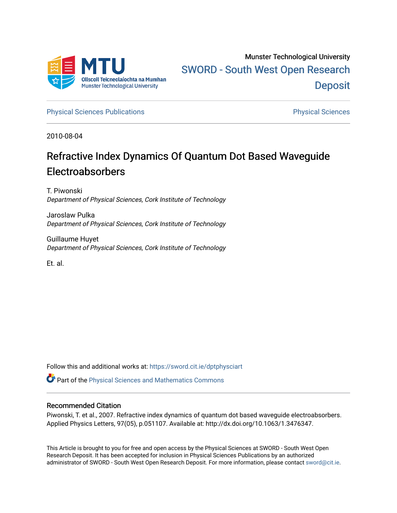

[Physical Sciences Publications](https://sword.cit.ie/dptphysciart) **Physical Sciences** Physical Sciences

2010-08-04

# Refractive Index Dynamics Of Quantum Dot Based Waveguide Electroabsorbers

T. Piwonski Department of Physical Sciences, Cork Institute of Technology

Jaroslaw Pulka Department of Physical Sciences, Cork Institute of Technology

Guillaume Huyet Department of Physical Sciences, Cork Institute of Technology

Et. al.

Follow this and additional works at: [https://sword.cit.ie/dptphysciart](https://sword.cit.ie/dptphysciart?utm_source=sword.cit.ie%2Fdptphysciart%2F29&utm_medium=PDF&utm_campaign=PDFCoverPages)

**C** Part of the Physical Sciences and Mathematics Commons

### Recommended Citation

Piwonski, T. et al., 2007. Refractive index dynamics of quantum dot based waveguide electroabsorbers. Applied Physics Letters, 97(05), p.051107. Available at: http://dx.doi.org/10.1063/1.3476347.

This Article is brought to you for free and open access by the Physical Sciences at SWORD - South West Open Research Deposit. It has been accepted for inclusion in Physical Sciences Publications by an authorized administrator of SWORD - South West Open Research Deposit. For more information, please contact [sword@cit.ie.](mailto:sword@cit.ie)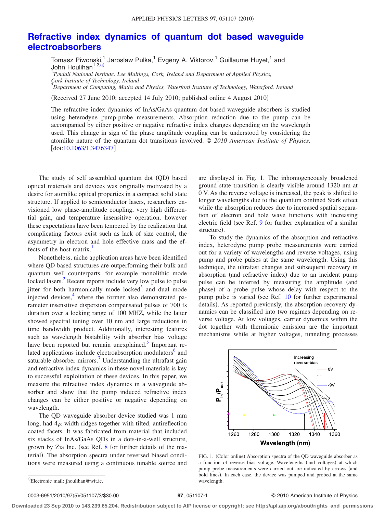## **[Refractive index dynamics of quantum dot based waveguide](http://dx.doi.org/10.1063/1.3476347) [electroabsorbers](http://dx.doi.org/10.1063/1.3476347)**

Tomasz Piwonski,<sup>1</sup> Jaroslaw Pulka,<sup>1</sup> Evgeny A. Viktorov,<sup>1</sup> Guillaume Huyet,<sup>1</sup> and John Houlihan<sup>1</sup>

1 *Tyndall National Institute, Lee Maltings, Cork, Ireland and Department of Applied Physics, Cork Institute of Technology, Ireland*

2 *Department of Computing, Maths and Physics, Waterford Institute of Technology, Waterford, Ireland*

(Received 27 June 2010; accepted 14 July 2010; published online 4 August 2010)

The refractive index dynamics of InAs/GaAs quantum dot based waveguide absorbers is studied using heterodyne pump-probe measurements. Absorption reduction due to the pump can be accompanied by either positive or negative refractive index changes depending on the wavelength used. This change in sign of the phase amplitude coupling can be understood by considering the atomlike nature of the quantum dot transitions involved. © *2010 American Institute of Physics*. doi[:10.1063/1.3476347](http://dx.doi.org/10.1063/1.3476347)

The study of self assembled quantum dot (QD) based optical materials and devices was originally motivated by a desire for atomlike optical properties in a compact solid state structure. If applied to semiconductor lasers, researchers envisioned low phase-amplitude coupling, very high differential gain, and temperature insensitive operation, however these expectations have been tempered by the realization that complicating factors exist such as lack of size control, the asymmetry in electron and hole effective mass and the effects of the host matrix.<sup>1</sup>

Nonetheless, niche application areas have been identified where QD based structures are outperforming their bulk and quantum well counterparts, for example monolithic mode locked lasers.<sup>2</sup> Recent reports include very low pulse to pulse jitter for both harmonically mode locked $3$  and dual mode injected devices,<sup>4</sup> where the former also demonstrated parameter insensitive dispersion compensated pulses of 700 fs duration over a locking range of 100 MHZ, while the latter showed spectral tuning over 10 nm and large reductions in time bandwidth product. Additionally, interesting features such as wavelength bistability with absorber bias voltage have been reported but remain unexplained.<sup>5</sup> Important related applications include electroabsorption modulators<sup>6</sup> and saturable absorber mirrors.<sup>7</sup> Understanding the ultrafast gain and refractive index dynamics in these novel materials is key to successful exploitation of these devices. In this paper, we measure the refractive index dynamics in a waveguide absorber and show that the pump induced refractive index changes can be either positive or negative depending on wavelength.

The QD waveguide absorber device studied was 1 mm long, had  $4\mu$  width ridges together with tilted, antireflection coated facets. It was fabricated from material that included six stacks of InAs/GaAs QDs in a dots-in-a-well structure, grown by Zia Inc. (see Ref. [8](#page-3-7) for further details of the material). The absorption spectra under reversed biased conditions were measured using a continuous tunable source and

are displayed in Fig. [1.](#page-1-1) The inhomogeneously broadened ground state transition is clearly visible around 1320 nm at 0 V. As the reverse voltage is increased, the peak is shifted to longer wavelengths due to the quantum confined Stark effect while the absorption reduces due to increased spatial separation of electron and hole wave functions with increasing electric field (see Ref. [9](#page-3-8) for further explanation of a similar structure).

To study the dynamics of the absorption and refractive index, heterodyne pump probe measurements were carried out for a variety of wavelengths and reverse voltages, using pump and probe pulses at the same wavelength. Using this technique, the ultrafast changes and subsequent recovery in absorption (and refractive index) due to an incident pump pulse can be inferred by measuring the amplitude (and phase) of a probe pulse whose delay with respect to the pump pulse is varied (see Ref. [10](#page-3-9) for further experimental details). As reported previously, the absorption recovery dynamics can be classified into two regimes depending on reverse voltage. At low voltages, carrier dynamics within the dot together with thermionic emission are the important mechanisms while at higher voltages, tunneling processes

<span id="page-1-1"></span>

FIG. 1. (Color online) Absorption spectra of the QD waveguide absorber as a function of reverse bias voltage. Wavelengths (and voltages) at which pump probe measurements were carried out are indicated by arrows (and bold lines). In each case, the device was pumped and probed at the same wavelength.

0003-6951/2010/97(5)/051107/3/\$30.00

#### /051107/3/\$30.00 © 2010 American Institute of Physics **97**, 051107-1

**Downloaded 23 Sep 2010 to 143.239.65.204. Redistribution subject to AIP license or copyright; see http://apl.aip.org/about/rights\_and\_permissions**

<span id="page-1-0"></span>a)Electronic mail: jhoulihan@wit.ie.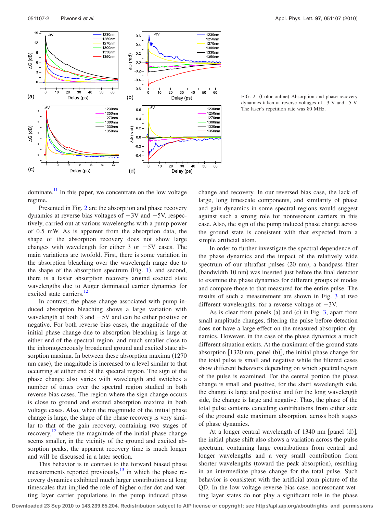<span id="page-2-0"></span>

FIG. 2. (Color online) Absorption and phase recovery dynamics taken at reverse voltages of –3 V and –5 V. The laser's repetition rate was 80 MHz.

dominate.<sup>11</sup> In this paper, we concentrate on the low voltage regime.

Presented in Fig. [2](#page-2-0) are the absorption and phase recovery dynamics at reverse bias voltages of  $-3V$  and  $-5V$ , respectively, carried out at various wavelengths with a pump power of 0.5 mW. As is apparent from the absorption data, the shape of the absorption recovery does not show large changes with wavelength for either 3 or  $-5V$  cases. The main variations are twofold. First, there is some variation in the absorption bleaching over the wavelength range due to the shape of the absorption spectrum (Fig. [1](#page-1-1)), and second, there is a faster absorption recovery around excited state wavelengths due to Auger dominated carrier dynamics for excited state carriers.<sup>1</sup>

In contrast, the phase change associated with pump induced absorption bleaching shows a large variation with wavelength at both 3 and  $-5V$  and can be either positive or negative. For both reverse bias cases, the magnitude of the initial phase change due to absorption bleaching is large at either end of the spectral region, and much smaller close to the inhomogeneously broadened ground and excited state absorption maxima. In between these absorption maxima (1270 nm case), the magnitude is increased to a level similar to that occurring at either end of the spectral region. The sign of the phase change also varies with wavelength and switches a number of times over the spectral region studied in both reverse bias cases. The region where the sign change occurs is close to ground and excited absorption maxima in both voltage cases. Also, when the magnitude of the initial phase change is large, the shape of the phase recovery is very similar to that of the gain recovery, containing two stages of recovery, $12$  where the magnitude of the initial phase change seems smaller, in the vicinity of the ground and excited absorption peaks, the apparent recovery time is much longer and will be discussed in a later section.

This behavior is in contrast to the forward biased phase measurements reported previously, $13$  in which the phase recovery dynamics exhibited much larger contributions at long timescales that implied the role of higher order dot and wetting layer carrier populations in the pump induced phase

change and recovery. In our reversed bias case, the lack of large, long timescale components, and similarity of phase and gain dynamics in some spectral regions would suggest against such a strong role for nonresonant carriers in this case. Also, the sign of the pump induced phase change across the ground state is consistent with that expected from a simple artificial atom.

In order to further investigate the spectral dependence of the phase dynamics and the impact of the relatively wide spectrum of our ultrafast pulses (20 nm), a bandpass filter (bandwidth 10 nm) was inserted just before the final detector to examine the phase dynamics for different groups of modes and compare those to that measured for the entire pulse. The results of such a measurement are shown in Fig. [3](#page-3-13) at two different wavelengths, for a reverse voltage of  $-3V$ .

As is clear from panels (a) and (c) in Fig.  $3$ , apart from small amplitude changes, filtering the pulse before detection does not have a large effect on the measured absorption dynamics. However, in the case of the phase dynamics a much different situation exists. At the maximum of the ground state absorption [1320 nm, panel (b)], the initial phase change for the total pulse is small and negative while the filtered cases show different behaviors depending on which spectral region of the pulse is examined. For the central portion the phase change is small and positive, for the short wavelength side, the change is large and positive and for the long wavelength side, the change is large and negative. Thus, the phase of the total pulse contains canceling contributions from either side of the ground state maximum absorption, across both stages of phase dynamics.

At a longer central wavelength of  $1340$  nm [panel (d)], the initial phase shift also shows a variation across the pulse spectrum, containing large contributions from central and longer wavelengths and a very small contribution from shorter wavelengths (toward the peak absorption), resulting in an intermediate phase change for the total pulse. Such behavior is consistent with the artificial atom picture of the QD. In the low voltage reverse bias case, nonresonant wetting layer states do not play a significant role in the phase

**Downloaded 23 Sep 2010 to 143.239.65.204. Redistribution subject to AIP license or copyright; see http://apl.aip.org/about/rights\_and\_permissions**